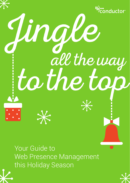

Your Guide to Web Presence Management this Holiday Season



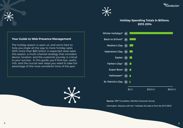





#### **Holiday Spending Totals in Billions, 2013-2014**

#### **Your Guide to Web Presence Management**

The holiday season is upon us, and we're here to help you jingle all the way to more holiday sales. With more than \$80 billion in expected retail sales this season, a multi-channel strategy that considers device, location, and the customer journey is critical to your success. In this guide, you'll find tips, useful info, and the crucial next steps you need to take full advantage of the most wonderful time of the year.

 $\cancel{\times}$ 



**Source:** NRF Foundation, Monthly Consumer Survey

Information: Seasons with the **\*** indicates the data is from the 2013 MCS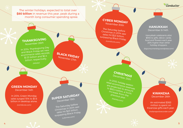"conductor

The winter holidays, expected to total over **\$80 billion** in revenue this year, peak during a month long consumer spending spree.

# **CYBER MONDAY**

The Saturday before<br>Christmas in 2014 saw<br>sales hit \$23 billion,<br>surpassing Black Friday.<br>(comscore.com)

### **HANUKKAH**

December 6-14th

Hanukkah celebrants allot \$945 to gifts, décor, cards, food and flowers each year, 26% higher than other holiday shoppers.

(bigconsumerblog.wordpress.com)

# **CHRISTMAS**<br>December 25th

In 2015, holiday season<br>
retail ecommerce revenues<br>
to \$82.4 billion, a mount<br>
increase from the previous year.<br>
Previous year. (statista.com)

#### **KWANZAA** December 26th

An estimated \$363 million is spent on Kwanzaa gifts each year.

(indianapolisrecorder.com)

### **THANKSGIVING** November 26t<sup>h</sup>

In 2014, Thanksgiving Day and Black Friday set new ecommerce sales records: \$1.33 billion and \$2.4 billion, respectively.

(Adobe)

# **SUPER SATURDAY**

**BLACK FRIDAY** 

The Saturday before<br>Christmas in 2014 saw<br>sales hit \$23 billion,<br>surpassing Black Friday. December 19th<br>
he Saturday befor<br>
he Saturday befor<br>
sales hit \$23 billi<br>
rpassing Black F<br>
<sub>(LAtimes.com)</sub>

#### **GREEN MONDAY** December 14th

In 2014, Green Monday sales surged 15% to \$1.6 billion in desktop alone.

(comScore.com)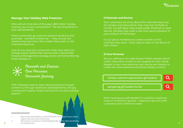

#### **Manage Your Holiday Web Presence**

Who will win that slice of this year's \$80 billion holiday revenue, you or your competitors? The deciding factor is your web presence.

When consumers go online to research products and purchase - and 94% of them do  $1$  - they choose the retailers that give them the content they want on the channels they trust.

How do you give your consumers what they want this holiday season better than anyone else? A good Web Presence Management strategy starts with remembering three holiday C's.



Channels and Devices Core Personas Consumer Journey

70% of people want to learn about products through content vs. through traditional advertisements. Are you covered with quality content during this lucrative holiday season?<sup>2</sup>

https://www.internetretailer.com/2010/03/02/61-of-shoppers-use-a-searchengine-when-they-shop-online-study

http://www.inc.com/laura-montini/infographic/the-shift-to-native-advertising -in-marketing.html 6 7

#### **1) Channels and Devices**

Your customers are picky about the channels they trust. For reviews and instructions, they may love YouTube or Tumblr. For gift ideas, they might prefer Pinterest or news articles. Perhaps they want a real-time demonstration of your product on Periscope!

It's our job as marketers to create content on the channels they want – that's easy to read on the device of their choice.

#### **2) Core Personas**

Are you talking to the right buyers? When people search online, they want content to be targeted to their needs. Appeal to your core personas' pain points and desires to create the most powerful and sticky holiday content.

holiday customer appreciation gift baskets



pampering gift baskets for her

Who's buying your gift baskets? It could be a business move or a romantic gesture – make sure you win both customers with content for each.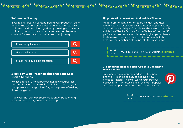## There is the control of the control of the control of

#### **3) Consumer Journey**

If you're only creating content around your products, you're missing the vast majority of your audience. Don't just sell, build trust and brand recognition by creating educational holiday content too. Lead them to repeat purchases with content for every step of their consumer journey.



#### **5 Holiday Web Presence Tips that Take Less than 5 Minutes**

What's a retailer's most precious holiday resource? It's time! While you need to make a big investment in your web presence strategy, don't forget the power of making little changes, too.

Make your holiday web presence stronger by spending just 5 minutes a day on one of these tips.

#### **1) Update Old Content and Add Holiday Themes**

Update pre-existing content to be holiday- and userfriendly; turn a list of your favorite kitchen appliances into "The Ultimate Holiday Gift Guide For the Baker," or a tech article into "The Perfect Gift for the Techie in Your Life." If you're an ecommerce site, this not only gives you a chance to showcase your products and bring in sales, but also helps you rank higher by tapping into the fresh factor.

Time it Takes to Re-title an Article: **2 Minutes**

#### **2) Spread the Holiday Spirit: Add Your Content to New Channels**

Take one piece of content and add it to a new channel – it can be as easy as adding a new photo to Pinterest. It's well worth your precious holiday time – Pinterest is one of the most popular sites for shoppers during the peak winter season.



Time it Takes to Pin: **2 Minutes**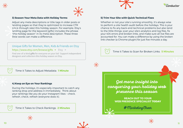





 $\divideontimes$ 

#### **3) Season Your Meta Data with Holiday Terms**

Adjust any meta descriptions or title tags in older posts or landing pages so that they're optimized to increase CTR (click-through rate) this holiday season. For example, Etsy's landing page for the keyword [gifts] includes the phrase "this holiday season" in its meta description. These three little words can make a difference.

#### Unique Gifts for Women, Men, Kids & Friends on Etsy https://www.etsy.com/browse/gifts > Etsy >

Find one-of-a-kind gifts for everyone on your list! Support independent designers and collectors this holiday season on Etsy.

Time it Takes to Adjust Metadata: **1 Minute**

#### **4) Keep an Eye on Your Rankings**

During the holidays, it's especially important to catch any ranking drop and address it immediately. Think about your rankings like you do your Instagram likes - check, refresh, check, refresh (everyone does it).

Time it Takes to Check Rankings: **2 Minutes**





Whether or not your site's running smoothly, it's always wise to perform a site health audit before the holidays. This is your chance to fix any back-end technical problems but also tend to the little things: scan your site's analytics and log files, fix your 404 errors and broken links, and make sure all live files are accounted for. You can make a difference by using the broken link checker (a Chrome plugin) for just five minutes a day.

### Time it Takes to Scan for Broken Links: **5 Minutes**

**Get more insight into conquering your holiday web presence this season**

> **REACH OUT TO YOUR WEB PRESENCE SPECIALIST TODAY**

> > *#*MarketingCheer